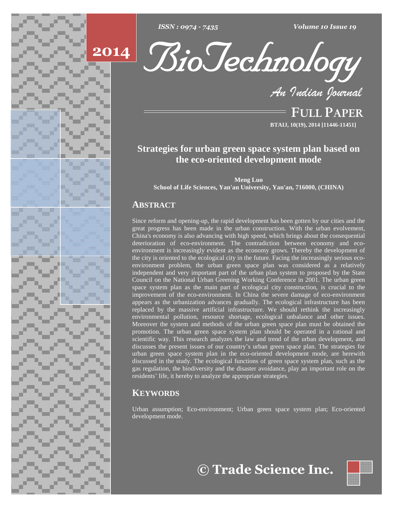



*Volume 10 Issue 19*<br>*OLOGY*<br>Indian Iournal

**FULL PAPER BTAIJ, 10(19), 2014 [11446-11451]**

# **Strategies for urban green space system plan based on the eco-oriented development mode**

**Meng Luo School of Life Sciences, Yan'an University, Yan'an, 716000, (CHINA)**

# **ABSTRACT**

Since reform and opening-up, the rapid development has been gotten by our cities and the great progress has been made in the urban construction. With the urban evolvement, China's economy is also advancing with high speed, which brings about the consequential deterioration of eco-environment. The contradiction between economy and eco environment is increasingly evident as the economy grows. Thereby the development of the city is oriented to the ecological city in the future. Facing the increasingly serious eco environment problem, the urban green space plan was considered as a relatively independent and very important part of the urban plan system to proposed by the State Council on the National Urban Greening Working Conference in 2001. The urban green space system plan as the main part of ecological city construction, is crucial to the improvement of the eco-environment. In China the severe damage of eco-environment appears as the urbanization advances gradually. The ecological infrastructure has been replaced by the massive artificial infrastructure. We should rethink the increasingly environmental pollution, resource shortage, ecological unbalance and other issues. Moreover the system and methods of the urban green space plan must be obtained the promotion. The urban green space system plan should be operated in a rational and scientific way. This research analyzes the law and trend of the urban development, and discusses the present issues of our country's urban g scientific way. This research analyzes the law and trend of the urban development, and<br>discusses the present issues of our country's urban green space plan. The strategies for urban green space system plan in the eco-oriented development mode, are herewith discussed in the study. The ecological functions of green space system plan, such as the gas regulation, the biodiversity and the disaster avoidance, play an important role on the residents' life, it hereby to analyze the appropriate strategies.

# **KEYWORDS**

Urban assumption; Eco-environment; Urban green space system plan; Eco-oriented development mode.



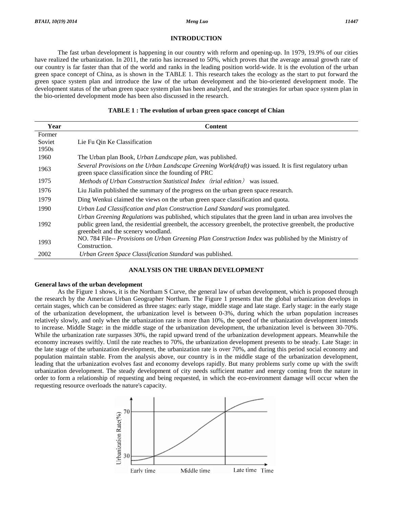# **INTRODUCTION**

The fast urban development is happening in our country with reform and opening-up. In 1979, 19.9% of our cities have realized the urbanization. In 2011, the ratio has increased to 50%, which proves that the average annual growth rate of our country is far faster than that of the world and ranks in the leading position world-wide. It is the evolution of the urban green space concept of China, as is shown in the TABLE 1. This research takes the ecology as the start to put forward the green space system plan and introduce the law of the urban development and the bio-oriented development mode. The development status of the urban green space system planhas been analyzed, and the strategies for urban space system plan in the bio-oriented development mode has been also discussed in the research.

# **TABLE 1 : The evolution of urban green space concept of Chian**

| Year   | <b>Content</b>                                                                                                                                                                                                                                                      |
|--------|---------------------------------------------------------------------------------------------------------------------------------------------------------------------------------------------------------------------------------------------------------------------|
| Former |                                                                                                                                                                                                                                                                     |
| Soviet | Lie Fu Oin Ke Classification                                                                                                                                                                                                                                        |
| 1950s  |                                                                                                                                                                                                                                                                     |
| 1960   | The Urban plan Book, Urban Landscape plan, was published.                                                                                                                                                                                                           |
| 1963   | Several Provisions on the Urban Landscape Greening Work( $draft$ ) was issued. It is first regulatory urban<br>green space classification since the founding of PRC                                                                                                 |
| 1975   | Methods of Urban Construction Statistical Index (trial edition) was issued.                                                                                                                                                                                         |
| 1976   | Liu Jialin published the summary of the progress on the urban green space research.                                                                                                                                                                                 |
| 1979   | Ding Wenkui claimed the views on the urban green space classification and quota.                                                                                                                                                                                    |
| 1990   | Urban Lad Classification and plan Construction Land Standard was promulgated.                                                                                                                                                                                       |
| 1992   | Urban Greening Regulations was published, which stipulates that the green land in urban area involves the<br>public green land, the residential greenbelt, the accessory greenbelt, the protective greenbelt, the productive<br>greenbelt and the scenery woodland. |
| 1993   | NO. 784 File-- Provisions on Urban Greening Plan Construction Index was published by the Ministry of<br>Construction.                                                                                                                                               |
| 2002   | Urban Green Space Classification Standard was published.                                                                                                                                                                                                            |

# **ANALYSIS ON THE URBAN DEVELOPMENT**

## **General laws of the urban development**

As the Figure 1 shows, it is the Northam S Curve, the general law of urban development, which is proposed through the research by the American Urban Geographer Northam. The Figure 1 presents that the global urbanization develops in certain stages, which can be considered as three stages: early stage, middle stage and late stage. Early stage: in the early stage of the urbanization development, the urbanization level is between 0-3%, during which the urban population increases relatively slowly, and only when the urbanization rate is more than 10%, the speed of the urbanization development intends to increase. Middle Stage: in the middle stage of the urbanization development, the urbanization level is between 30-70%. While the urbanization rate surpasses 30%, the rapid upward trend of the urbanization development appears. Meanwhile the economy increases swiftly. Until the rate reaches to 70%, the urbanization development presents to be steady. Late Stage: in the late stage of the urbanization development, the urbanization rate is over 70%, and during this period social economy and population maintain stable. From the analysis above, our country is in the middle stage of the urbanization development, leading that the urbanization evolves fast and economy develops rapidly. But many problems surly come up with the swift urbanization development. The steady development of city needs sufficient matter and energy coming from the nature in order to form a relationship of requesting and being requested, in which the eco-environment damage will occur when the requesting resource overloads the nature's capacity.

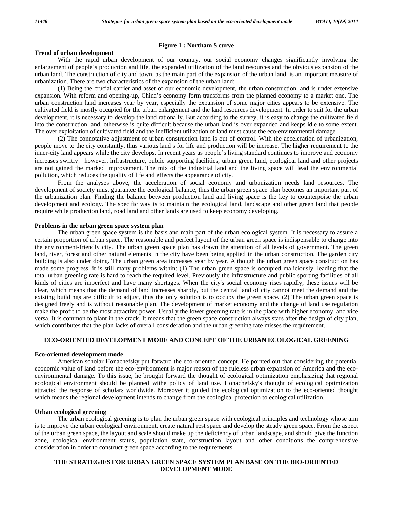### **Figure 1 : Northam S curve**

# **Trend of urban development**

With the rapid urban development of our country, our social economy changes significantly involving the enlargement of people's production and life, the expanded utilization of the land resources and the obvious expansion of the urban land. The construction of city and town, as the main part of the expansion of the urban land, is an important measure of urbanization. There are two characteristics of the expansion of the urban land:

(1) Being the crucial carrier and asset of our economic development, the urban construction land is under extensive expansion. With reform and opening-up, Chinaí<sup>s</sup> economy form transforms from the planned economy to <sup>a</sup> market one. The urban construction land increases year by year, especially the expansion of some major cities appears to be extensive. The cultivated field is mostly occupied for the urban enlargement and the land resources development. In order to suit for the urban development, it is necessary to develop the land rationally. But according to the survey, it is easy to change the cultivated field into the construction land, otherwise is quite difficult because the urban land is over expanded and keeps idle to some extent. The over exploitation of cultivated field and the inefficient utilization of land must cause the eco-environmental damage.

(2) The connotative adjustment of urban construction land is out of control. With the acceleration of urbanization, people move to the city constantly, thus various land s for life and production will be increase. The higher requirement to the inner-city land appears while the city develops. In recent years as people's living standard continues to improve and economy increases swiftly, however, infrastructure, public supporting facilities, urban green land, ecological land and other projects are not gained the marked improvement. The mix of the industrial land and the living space will lead the environmental pollution, which reduces the quality of life and effects the appearance of city.

From the analyses above, the acceleration of social economy and urbanization needs land resources. The development of society must guarantee the ecological balance, thus the urban green space plan becomes an important part of the urbanization plan. Finding the balance between production land and living space is the key to counterpoise the urban development and ecology. The specific way is to maintain the ecological land, landscape and other green land that people require while production land, road land and other lands are used to keep economy developing.

## **Problems in the urban green space system plan**

The urban green space system is the basis and main part of the urban ecological system. It is necessary to assure a certain proportion of urban space. The reasonable and perfect layout of the urban green space is indispensable to change into the environment-friendly city. The urban green space plan has drawn the attention of all levels of government. The green land, river, forest and other natural elements in the city have been being applied in the urban construction. The garden city building is also under doing. The urban green area increases year by year. Although the urban green space construction has made some progress, it is still many problems within: (1) The urban green space is occupied maliciously, leading that the total urban greening rate is hard to reach the required level. Previously the infrastructure and public sporting facilities of all kinds of cities are imperfect and have many shortages. When the city's social economy rises rapidly, these issues will be clear, which means that the demand of land increases sharply, but the central land of city cannot meet the demand and the existing buildings are difficult to adjust, thus the only solution is to occupy the green space. (2) The urban green space is designed freely and is without reasonable plan. The development of market economy and the change of land use regulation make the profit to be the most attractive power. Usually the lower greening rate is in the place with higher economy, and vice versa. It is common to plant in the crack. It means that the green space construction always stars after the design of city plan, which contributes that the plan lacks of overall consideration and the urban greening rate misses the requirement.

### **ECO-ORIENTED DEVELOPMENT MODE AND CONCEPT OF THE URBAN ECOLOGICAL GREENING**

#### **Eco-oriented development mode**

American scholar Honachefsky put forward the eco-oriented concept. He pointed out that considering the potential economic value of land before the eco-environment is major reason of the ruleless urban expansion of America and the eco environmental damage. To this issue, he brought forward the thought of ecological optimization emphasizing that regional ecological environment should be planned withe policy of land use. Honachefsky's thought of ecological optimization attracted the response of scholars worldwide. Moreover it guided the ecological optimization to the eco-oriented thought which means the regional development intends to change from the ecological protection to ecological utilization.

### **Urban ecological greening**

The urban ecological greening is to plan the urban green space with ecological principles and technology whose aim is to improve the urban ecological environment, create natural rest space and develop the steady green space. From the aspect of the urban green space, the layout and scale should make up the deficiency of urban landscape, and should give the function zone, ecological environment status, population state, construction layout and other conditions the comprehensive consideration in order to construct green space according to the requirements.

# **THE STRATEGIES FOR URBAN GREEN SPACE SYSTEM PLAN BASE ON THE BIO-ORIENTED DEVELOPMENT MODE**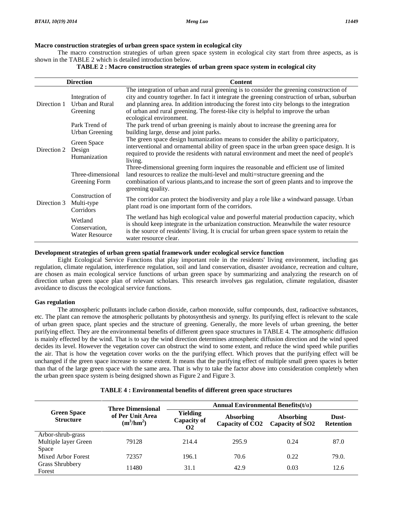# **Macro construction strategies of urban green space system in ecological city**

The macro construction strategies of urban green space system in ecological city start from three aspects, as is shown in the TABLE 2 which is detailed introduction below.

| TABLE 2 : Macro construction strategies of urban green space system in ecological city |  |
|----------------------------------------------------------------------------------------|--|
|                                                                                        |  |

| <b>Direction</b> |                                                   | <b>Content</b>                                                                                                                                                                                                                                                                                                                                                                                        |  |  |
|------------------|---------------------------------------------------|-------------------------------------------------------------------------------------------------------------------------------------------------------------------------------------------------------------------------------------------------------------------------------------------------------------------------------------------------------------------------------------------------------|--|--|
| Direction 1      | Integration of<br>Urban and Rural<br>Greening     | The integration of urban and rural greening is to consider the greening construction of<br>city and country together. In fact it integrate the greening construction of urban, suburban<br>and planning area. In addition introducing the forest into city belongs to the integration<br>of urban and rural greening. The forest-like city is helpful to improve the urban<br>ecological environment. |  |  |
|                  | Park Trend of<br><b>Urban Greening</b>            | The park trend of urban greening is mainly about to increase the greening area for<br>building large, dense and joint parks.                                                                                                                                                                                                                                                                          |  |  |
| Direction 2      | Green Space<br>Design<br>Humanization             | The green space design humanization means to consider the ability o participatory,<br>interventional and ornamental ability of green space in the urban green space design. It is<br>required to provide the residents with natural environment and meet the need of people's<br>living.                                                                                                              |  |  |
|                  | Three-dimensional<br>Greening Form                | Three-dimensional greening form inquires the reasonable and efficient use of limited<br>land resources to realize the multi-level and multi=structure greening and the<br>combination of various plants, and to increase the sort of green plants and to improve the<br>greening quality.                                                                                                             |  |  |
| Direction 3      | Construction of<br>Multi-type<br>Corridors        | The corridor can protect the biodiversity and play a role like a windward passage. Urban<br>plant road is one important form of the corridors.                                                                                                                                                                                                                                                        |  |  |
|                  | Wetland<br>Conservation,<br><b>Water Resource</b> | The wetland has high ecological value and powerful material production capacity, which<br>is should keep integrate in the urbanization construction. Meanwhile the water resource<br>is the source of residents' living. It is crucial for urban green space system to retain the<br>water resource clear.                                                                                            |  |  |

# **Development strategies of urban green spatial framework under ecological service function**

Eight Ecological Service Functions that play important role in the residents' living environment, including gas regulation, climate regulation, interference regulation, soil and land conservation, disaster avoidance, recreation and culture, are chosen as main ecological service functions of urban green space by summarizing and analyzing the research on of direction urban green space plan of relevant scholars. This research involves gas regulation, climate regulation, disaster avoidance to discuss the ecological service functions.

# **Gas regulation**

The atmospheric pollutants include carbon dioxide, carbon monoxide, sulfur compounds, dust, radioactive substances, etc. The plant can remove the atmospheric pollutants by photosynthesis and synergy. Its purifying effect is relevant to the scale of urban green space, plant species and the structure of greening. Generally, the more levels of urban greening, the better purifying effect. They are the environmental benefits of different green space structures in TABLE 4. The atmospheric diffusion is mainly effected by the wind. That is to say the wind direction determines atmospheric diffusion direction and the wind speed decides its level. However the vegetation cover can obstruct the wind to some extent, and reduce the wind speed while purifies the air. That is how the vegetation cover works on the the purifying effect. Which proves that the purifying effect will be unchanged if the green space increase to some extent. It means that the purifying effect of multiple small green spaces is better than that of the large green space with the same area. That is why to take the factor above into consideration completely when the urban green space system is being designed shown as Figure 2 and Figure 3.

| <b>TABLE 4 : Environmental benefits of different green space structures</b> |                                                              |                                             |                                                 |                                          |                           |  |
|-----------------------------------------------------------------------------|--------------------------------------------------------------|---------------------------------------------|-------------------------------------------------|------------------------------------------|---------------------------|--|
|                                                                             | <b>Three Dimensional</b><br>of Per Unit Area<br>$(m^3/hm^2)$ | Annual Environmental Benefits $(t/\alpha)$  |                                                 |                                          |                           |  |
| <b>Green Space</b><br><b>Structure</b>                                      |                                                              | Yielding<br><b>Capacity of</b><br><b>O2</b> | <b>Absorbing</b><br>Capacity of CO <sub>2</sub> | Absorbing<br>Capacity of SO <sub>2</sub> | Dust-<br><b>Retention</b> |  |
| Arbor-shrub-grass<br>Multiple layer Green<br>Space                          | 79128                                                        | 214.4                                       | 295.9                                           | 0.24                                     | 87.0                      |  |
| Mixed Arbor Forest                                                          | 72357                                                        | 196.1                                       | 70.6                                            | 0.22                                     | 79.0.                     |  |
| <b>Grass Shrubbery</b><br>Forest                                            | 11480                                                        | 31.1                                        | 42.9                                            | 0.03                                     | 12.6                      |  |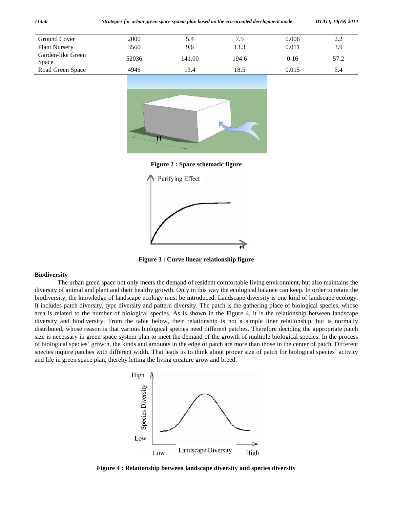| Ground Cover               | 2000  | 5.4    | 7.5   | 0.006 | 2.2  |
|----------------------------|-------|--------|-------|-------|------|
| <b>Plant Nursery</b>       | 3560  | 9.6    | 13.3  | 0.011 | 3.9  |
| Garden-like Green<br>Space | 52036 | 141.00 | 194.6 | 0.16  | 57.2 |
| Road Green Space           | 4946  | 13.4   | 18.5  | 0.015 | 5.4  |
|                            |       |        |       |       |      |



**Figure 2 : Space schematic figure**



**Figure 3 : Curve linear relationship figure**

# **Biodiversity**

The urban green space not only meets the demand of resident comfortable living environment, but also maintains the diversity of animal and plant and their healthy growth. Only in this way the ecological balance can keep. In order to retain the biodiversity, the knowledge of landscape ecology must be introduced. Landscape diversity is one kind of landscape ecology. It includes patch diversity, type diversity and pattern diversity. The patch is the gathering place of biological species, whose area is related to the number of biological species. As is shown in the Figure 4, it is the relationship between landscape diversity and biodiversity. From the table below, their relationship is not a simple liner relationship, but is normally distributed, whose reason is that various biological species need different patches. Therefore deciding the appropriate patch<br>size is necessary in green space system plan to meet the demand of the growth of multiple biolog size is necessary in green space system plan to meet the demand of the growth of multiple biological species. In the process of biological species' growth, the kinds and amounts in the edge of patch are more than those in the center of patch. Different species inquire patches with different width. That leads us to think about proper size of patc and life in green space plan, thereby letting the living creature grow and breed.



**Figure 4 : Relationship between landscape diversity and species diversity**